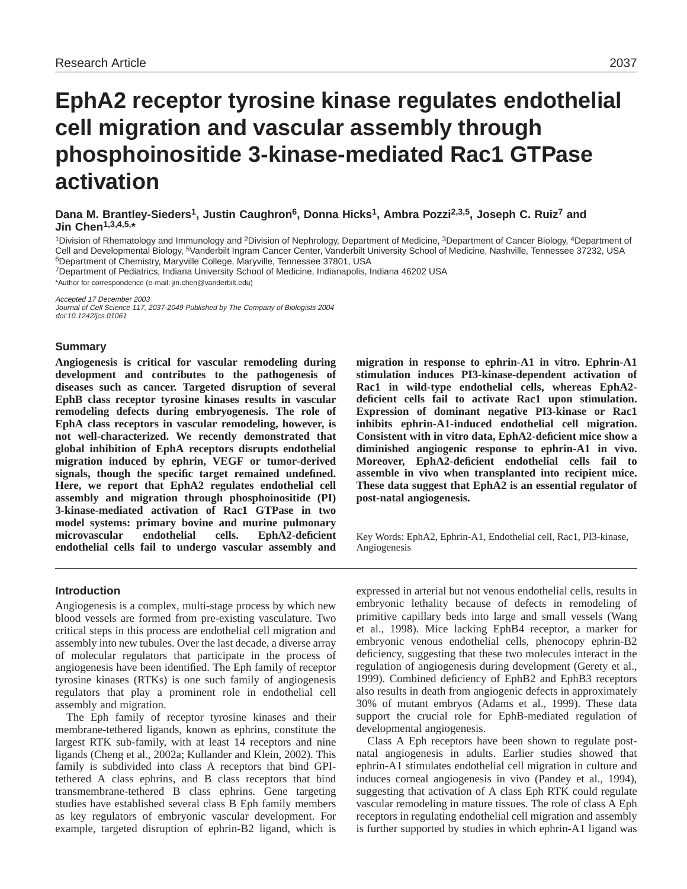# **EphA2 receptor tyrosine kinase regulates endothelial cell migration and vascular assembly through phosphoinositide 3-kinase-mediated Rac1 GTPase activation**

**Dana M. Brantley-Sieders1, Justin Caughron6, Donna Hicks1, Ambra Pozzi2,3,5, Joseph C. Ruiz7 and Jin Chen1,3,4,5,\***

1Division of Rhematology and Immunology and <sup>2</sup>Division of Nephrology, Department of Medicine, <sup>3</sup>Department of Cancer Biology, <sup>4</sup>Department of Cell and Developmental Biology, 5Vanderbilt Ingram Cancer Center, Vanderbilt University School of Medicine, Nashville, Tennessee 37232, USA 6Department of Chemistry, Maryville College, Maryville, Tennessee 37801, USA

7Department of Pediatrics, Indiana University School of Medicine, Indianapolis, Indiana 46202 USA

\*Author for correspondence (e-mail: jin.chen@vanderbilt.edu)

Accepted 17 December 2003

Journal of Cell Science 117, 2037-2049 Published by The Company of Biologists 2004 doi:10.1242/jcs.01061

## **Summary**

**Angiogenesis is critical for vascular remodeling during development and contributes to the pathogenesis of diseases such as cancer. Targeted disruption of several EphB class receptor tyrosine kinases results in vascular remodeling defects during embryogenesis. The role of EphA class receptors in vascular remodeling, however, is not well-characterized. We recently demonstrated that global inhibition of EphA receptors disrupts endothelial migration induced by ephrin, VEGF or tumor-derived signals, though the specific target remained undefined. Here, we report that EphA2 regulates endothelial cell assembly and migration through phosphoinositide (PI) 3-kinase-mediated activation of Rac1 GTPase in two model systems: primary bovine and murine pulmonary microvascular endothelial cells. EphA2-deficient endothelial cells fail to undergo vascular assembly and**

# **Introduction**

Angiogenesis is a complex, multi-stage process by which new blood vessels are formed from pre-existing vasculature. Two critical steps in this process are endothelial cell migration and assembly into new tubules. Over the last decade, a diverse array of molecular regulators that participate in the process of angiogenesis have been identified. The Eph family of receptor tyrosine kinases (RTKs) is one such family of angiogenesis regulators that play a prominent role in endothelial cell assembly and migration.

The Eph family of receptor tyrosine kinases and their membrane-tethered ligands, known as ephrins, constitute the largest RTK sub-family, with at least 14 receptors and nine ligands (Cheng et al., 2002a; Kullander and Klein, 2002). This family is subdivided into class A receptors that bind GPItethered A class ephrins, and B class receptors that bind transmembrane-tethered B class ephrins. Gene targeting studies have established several class B Eph family members as key regulators of embryonic vascular development. For example, targeted disruption of ephrin-B2 ligand, which is

**migration in response to ephrin-A1 in vitro. Ephrin-A1 stimulation induces PI3-kinase-dependent activation of Rac1 in wild-type endothelial cells, whereas EphA2 deficient cells fail to activate Rac1 upon stimulation. Expression of dominant negative PI3-kinase or Rac1 inhibits ephrin-A1-induced endothelial cell migration. Consistent with in vitro data, EphA2-deficient mice show a diminished angiogenic response to ephrin-A1 in vivo. Moreover, EphA2-deficient endothelial cells fail to assemble in vivo when transplanted into recipient mice. These data suggest that EphA2 is an essential regulator of post-natal angiogenesis.**

Key Words: EphA2, Ephrin-A1, Endothelial cell, Rac1, PI3-kinase, Angiogenesis

expressed in arterial but not venous endothelial cells, results in embryonic lethality because of defects in remodeling of primitive capillary beds into large and small vessels (Wang et al., 1998). Mice lacking EphB4 receptor, a marker for embryonic venous endothelial cells, phenocopy ephrin-B2 deficiency, suggesting that these two molecules interact in the regulation of angiogenesis during development (Gerety et al., 1999). Combined deficiency of EphB2 and EphB3 receptors also results in death from angiogenic defects in approximately 30% of mutant embryos (Adams et al., 1999). These data support the crucial role for EphB-mediated regulation of developmental angiogenesis.

Class A Eph receptors have been shown to regulate postnatal angiogenesis in adults. Earlier studies showed that ephrin-A1 stimulates endothelial cell migration in culture and induces corneal angiogenesis in vivo (Pandey et al., 1994), suggesting that activation of A class Eph RTK could regulate vascular remodeling in mature tissues. The role of class A Eph receptors in regulating endothelial cell migration and assembly is further supported by studies in which ephrin-A1 ligand was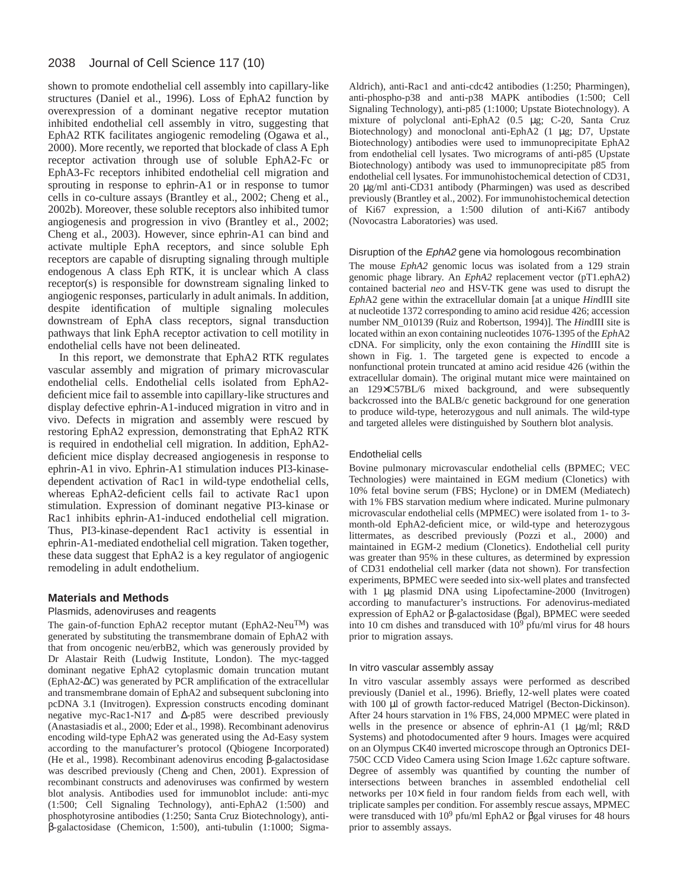#### 2038 Journal of Cell Science 117 (10)

shown to promote endothelial cell assembly into capillary-like structures (Daniel et al., 1996). Loss of EphA2 function by overexpression of a dominant negative receptor mutation inhibited endothelial cell assembly in vitro, suggesting that EphA2 RTK facilitates angiogenic remodeling (Ogawa et al., 2000). More recently, we reported that blockade of class A Eph receptor activation through use of soluble EphA2-Fc or EphA3-Fc receptors inhibited endothelial cell migration and sprouting in response to ephrin-A1 or in response to tumor cells in co-culture assays (Brantley et al., 2002; Cheng et al., 2002b). Moreover, these soluble receptors also inhibited tumor angiogenesis and progression in vivo (Brantley et al., 2002; Cheng et al., 2003). However, since ephrin-A1 can bind and activate multiple EphA receptors, and since soluble Eph receptors are capable of disrupting signaling through multiple endogenous A class Eph RTK, it is unclear which A class receptor(s) is responsible for downstream signaling linked to angiogenic responses, particularly in adult animals. In addition, despite identification of multiple signaling molecules downstream of EphA class receptors, signal transduction pathways that link EphA receptor activation to cell motility in endothelial cells have not been delineated.

In this report, we demonstrate that EphA2 RTK regulates vascular assembly and migration of primary microvascular endothelial cells. Endothelial cells isolated from EphA2 deficient mice fail to assemble into capillary-like structures and display defective ephrin-A1-induced migration in vitro and in vivo. Defects in migration and assembly were rescued by restoring EphA2 expression, demonstrating that EphA2 RTK is required in endothelial cell migration. In addition, EphA2 deficient mice display decreased angiogenesis in response to ephrin-A1 in vivo. Ephrin-A1 stimulation induces PI3-kinasedependent activation of Rac1 in wild-type endothelial cells, whereas EphA2-deficient cells fail to activate Rac1 upon stimulation. Expression of dominant negative PI3-kinase or Rac1 inhibits ephrin-A1-induced endothelial cell migration. Thus, PI3-kinase-dependent Rac1 activity is essential in ephrin-A1-mediated endothelial cell migration. Taken together, these data suggest that EphA2 is a key regulator of angiogenic remodeling in adult endothelium.

# **Materials and Methods**

## Plasmids, adenoviruses and reagents

The gain-of-function EphA2 receptor mutant (EphA2-Neu<sup>TM</sup>) was generated by substituting the transmembrane domain of EphA2 with that from oncogenic neu/erbB2, which was generously provided by Dr Alastair Reith (Ludwig Institute, London). The myc-tagged dominant negative EphA2 cytoplasmic domain truncation mutant (EphA2-∆C) was generated by PCR amplification of the extracellular and transmembrane domain of EphA2 and subsequent subcloning into pcDNA 3.1 (Invitrogen). Expression constructs encoding dominant negative myc-Rac1-N17 and ∆-p85 were described previously (Anastasiadis et al., 2000; Eder et al., 1998). Recombinant adenovirus encoding wild-type EphA2 was generated using the Ad-Easy system according to the manufacturer's protocol (Qbiogene Incorporated) (He et al., 1998). Recombinant adenovirus encoding β-galactosidase was described previously (Cheng and Chen, 2001). Expression of recombinant constructs and adenoviruses was confirmed by western blot analysis. Antibodies used for immunoblot include: anti-myc (1:500; Cell Signaling Technology), anti-EphA2 (1:500) and phosphotyrosine antibodies (1:250; Santa Cruz Biotechnology), antiβ-galactosidase (Chemicon, 1:500), anti-tubulin (1:1000; Sigma-

Aldrich), anti-Rac1 and anti-cdc42 antibodies (1:250; Pharmingen), anti-phospho-p38 and anti-p38 MAPK antibodies (1:500; Cell Signaling Technology), anti-p85 (1:1000; Upstate Biotechnology). A mixture of polyclonal anti-EphA2 (0.5 µg; C-20, Santa Cruz Biotechnology) and monoclonal anti-EphA2 (1 µg; D7, Upstate Biotechnology) antibodies were used to immunoprecipitate EphA2 from endothelial cell lysates. Two micrograms of anti-p85 (Upstate Biotechnology) antibody was used to immunoprecipitate p85 from endothelial cell lysates. For immunohistochemical detection of CD31, 20 µg/ml anti-CD31 antibody (Pharmingen) was used as described previously (Brantley et al., 2002). For immunohistochemical detection of Ki67 expression, a 1:500 dilution of anti-Ki67 antibody (Novocastra Laboratories) was used.

#### Disruption of the EphA2 gene via homologous recombination

The mouse *EphA2* genomic locus was isolated from a 129 strain genomic phage library. An *EphA2* replacement vector (pT1.ephA2) contained bacterial *neo* and HSV-TK gene was used to disrupt the *Eph*A2 gene within the extracellular domain [at a unique *Hin*dIII site at nucleotide 1372 corresponding to amino acid residue 426; accession number NM\_010139 (Ruiz and Robertson, 1994)]. The *Hin*dIII site is located within an exon containing nucleotides 1076-1395 of the *Eph*A2 cDNA. For simplicity, only the exon containing the *Hin*dIII site is shown in Fig. 1. The targeted gene is expected to encode a nonfunctional protein truncated at amino acid residue 426 (within the extracellular domain). The original mutant mice were maintained on an 129×C57BL/6 mixed background, and were subsequently backcrossed into the BALB/c genetic background for one generation to produce wild-type, heterozygous and null animals. The wild-type and targeted alleles were distinguished by Southern blot analysis.

#### Endothelial cells

Bovine pulmonary microvascular endothelial cells (BPMEC; VEC Technologies) were maintained in EGM medium (Clonetics) with 10% fetal bovine serum (FBS; Hyclone) or in DMEM (Mediatech) with 1% FBS starvation medium where indicated. Murine pulmonary microvascular endothelial cells (MPMEC) were isolated from 1- to 3 month-old EphA2-deficient mice, or wild-type and heterozygous littermates, as described previously (Pozzi et al., 2000) and maintained in EGM-2 medium (Clonetics). Endothelial cell purity was greater than 95% in these cultures, as determined by expression of CD31 endothelial cell marker (data not shown). For transfection experiments, BPMEC were seeded into six-well plates and transfected with 1 µg plasmid DNA using Lipofectamine-2000 (Invitrogen) according to manufacturer's instructions. For adenovirus-mediated expression of EphA2 or β-galactosidase (βgal), BPMEC were seeded into 10 cm dishes and transduced with  $10<sup>9</sup>$  pfu/ml virus for 48 hours prior to migration assays.

#### In vitro vascular assembly assay

In vitro vascular assembly assays were performed as described previously (Daniel et al., 1996). Briefly, 12-well plates were coated with 100 µl of growth factor-reduced Matrigel (Becton-Dickinson). After 24 hours starvation in 1% FBS, 24,000 MPMEC were plated in wells in the presence or absence of ephrin-A1 (1 µg/ml; R&D Systems) and photodocumented after 9 hours. Images were acquired on an Olympus CK40 inverted microscope through an Optronics DEI-750C CCD Video Camera using Scion Image 1.62c capture software. Degree of assembly was quantified by counting the number of intersections between branches in assembled endothelial cell networks per 10× field in four random fields from each well, with triplicate samples per condition. For assembly rescue assays, MPMEC were transduced with  $10^9$  pfu/ml EphA2 or βgal viruses for 48 hours prior to assembly assays.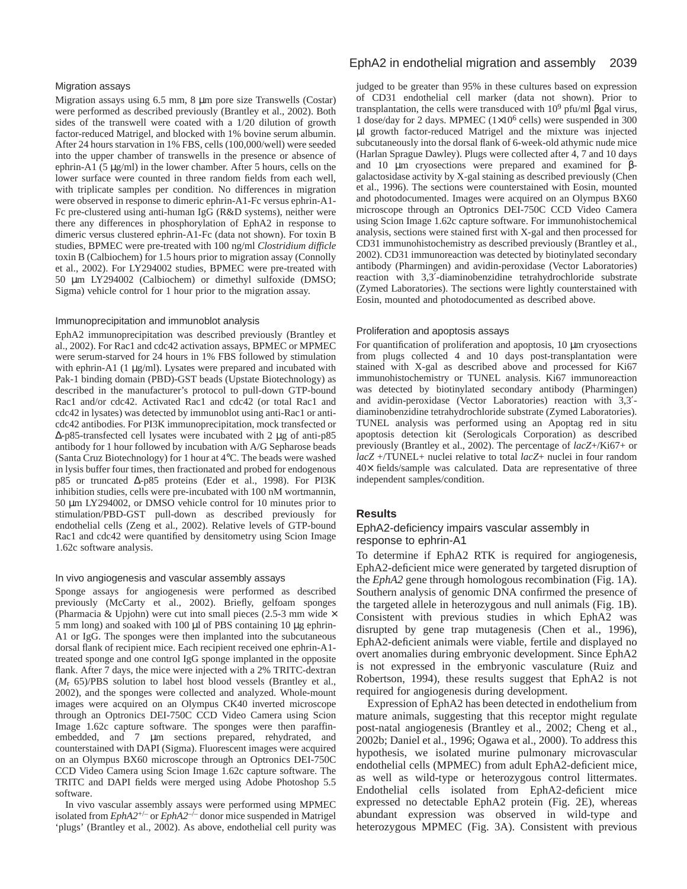#### Migration assays

Migration assays using 6.5 mm, 8 µm pore size Transwells (Costar) were performed as described previously (Brantley et al., 2002). Both sides of the transwell were coated with a 1/20 dilution of growth factor-reduced Matrigel, and blocked with 1% bovine serum albumin. After 24 hours starvation in 1% FBS, cells (100,000/well) were seeded into the upper chamber of transwells in the presence or absence of ephrin-A1 (5 µg/ml) in the lower chamber. After 5 hours, cells on the lower surface were counted in three random fields from each well, with triplicate samples per condition. No differences in migration were observed in response to dimeric ephrin-A1-Fc versus ephrin-A1- Fc pre-clustered using anti-human IgG (R&D systems), neither were there any differences in phosphorylation of EphA2 in response to dimeric versus clustered ephrin-A1-Fc (data not shown). For toxin B studies, BPMEC were pre-treated with 100 ng/ml *Clostridium difficle* toxin B (Calbiochem) for 1.5 hours prior to migration assay (Connolly et al., 2002). For LY294002 studies, BPMEC were pre-treated with 50 µm LY294002 (Calbiochem) or dimethyl sulfoxide (DMSO; Sigma) vehicle control for 1 hour prior to the migration assay.

## Immunoprecipitation and immunoblot analysis

EphA2 immunoprecipitation was described previously (Brantley et al., 2002). For Rac1 and cdc42 activation assays, BPMEC or MPMEC were serum-starved for 24 hours in 1% FBS followed by stimulation with ephrin-A1 (1 µg/ml). Lysates were prepared and incubated with Pak-1 binding domain (PBD)-GST beads (Upstate Biotechnology) as described in the manufacturer's protocol to pull-down GTP-bound Rac1 and/or cdc42. Activated Rac1 and cdc42 (or total Rac1 and cdc42 in lysates) was detected by immunoblot using anti-Rac1 or anticdc42 antibodies. For PI3K immunoprecipitation, mock transfected or ∆-p85-transfected cell lysates were incubated with 2 µg of anti-p85 antibody for 1 hour followed by incubation with A/G Sepharose beads (Santa Cruz Biotechnology) for 1 hour at 4°C. The beads were washed in lysis buffer four times, then fractionated and probed for endogenous p85 or truncated ∆-p85 proteins (Eder et al., 1998). For PI3K inhibition studies, cells were pre-incubated with 100 nM wortmannin, 50 µm LY294002, or DMSO vehicle control for 10 minutes prior to stimulation/PBD-GST pull-down as described previously for endothelial cells (Zeng et al., 2002). Relative levels of GTP-bound Rac1 and cdc42 were quantified by densitometry using Scion Image 1.62c software analysis.

## In vivo angiogenesis and vascular assembly assays

Sponge assays for angiogenesis were performed as described previously (McCarty et al., 2002). Briefly, gelfoam sponges (Pharmacia & Upjohn) were cut into small pieces (2.5-3 mm wide  $\times$ 5 mm long) and soaked with 100 µl of PBS containing 10 µg ephrin-A1 or IgG. The sponges were then implanted into the subcutaneous dorsal flank of recipient mice. Each recipient received one ephrin-A1 treated sponge and one control IgG sponge implanted in the opposite flank. After 7 days, the mice were injected with a 2% TRITC-dextran (*M*r 65)/PBS solution to label host blood vessels (Brantley et al., 2002), and the sponges were collected and analyzed. Whole-mount images were acquired on an Olympus CK40 inverted microscope through an Optronics DEI-750C CCD Video Camera using Scion Image 1.62c capture software. The sponges were then paraffinembedded, and 7  $\mu$ m sections prepared, rehydrated, and counterstained with DAPI (Sigma). Fluorescent images were acquired on an Olympus BX60 microscope through an Optronics DEI-750C CCD Video Camera using Scion Image 1.62c capture software. The TRITC and DAPI fields were merged using Adobe Photoshop 5.5 software.

In vivo vascular assembly assays were performed using MPMEC isolated from  $EphA2^{+/-}$  or  $EphA2^{-/-}$  donor mice suspended in Matrigel 'plugs' (Brantley et al., 2002). As above, endothelial cell purity was

# EphA2 in endothelial migration and assembly 2039

judged to be greater than 95% in these cultures based on expression of CD31 endothelial cell marker (data not shown). Prior to transplantation, the cells were transduced with  $10<sup>9</sup>$  pfu/ml βgal virus, 1 dose/day for 2 days. MPMEC (1×106 cells) were suspended in 300 µl growth factor-reduced Matrigel and the mixture was injected subcutaneously into the dorsal flank of 6-week-old athymic nude mice (Harlan Sprague Dawley). Plugs were collected after 4, 7 and 10 days and 10 µm cryosections were prepared and examined for βgalactosidase activity by X-gal staining as described previously (Chen et al., 1996). The sections were counterstained with Eosin, mounted and photodocumented. Images were acquired on an Olympus BX60 microscope through an Optronics DEI-750C CCD Video Camera using Scion Image 1.62c capture software. For immunohistochemical analysis, sections were stained first with X-gal and then processed for CD31 immunohistochemistry as described previously (Brantley et al., 2002). CD31 immunoreaction was detected by biotinylated secondary antibody (Pharmingen) and avidin-peroxidase (Vector Laboratories) reaction with 3,3′-diaminobenzidine tetrahydrochloride substrate (Zymed Laboratories). The sections were lightly counterstained with Eosin, mounted and photodocumented as described above.

# Proliferation and apoptosis assays

For quantification of proliferation and apoptosis, 10 µm cryosections from plugs collected 4 and 10 days post-transplantation were stained with X-gal as described above and processed for Ki67 immunohistochemistry or TUNEL analysis. Ki67 immunoreaction was detected by biotinylated secondary antibody (Pharmingen) and avidin-peroxidase (Vector Laboratories) reaction with 3,3′ diaminobenzidine tetrahydrochloride substrate (Zymed Laboratories). TUNEL analysis was performed using an Apoptag red in situ apoptosis detection kit (Serologicals Corporation) as described previously (Brantley et al., 2002). The percentage of *lacZ*+/Ki67+ or *lacZ* +/TUNEL+ nuclei relative to total *lacZ*+ nuclei in four random 40× fields/sample was calculated. Data are representative of three independent samples/condition.

# **Results**

# EphA2-deficiency impairs vascular assembly in response to ephrin-A1

To determine if EphA2 RTK is required for angiogenesis, EphA2-deficient mice were generated by targeted disruption of the *EphA2* gene through homologous recombination (Fig. 1A). Southern analysis of genomic DNA confirmed the presence of the targeted allele in heterozygous and null animals (Fig. 1B). Consistent with previous studies in which EphA2 was disrupted by gene trap mutagenesis (Chen et al., 1996), EphA2-deficient animals were viable, fertile and displayed no overt anomalies during embryonic development. Since EphA2 is not expressed in the embryonic vasculature (Ruiz and Robertson, 1994), these results suggest that EphA2 is not required for angiogenesis during development.

Expression of EphA2 has been detected in endothelium from mature animals, suggesting that this receptor might regulate post-natal angiogenesis (Brantley et al., 2002; Cheng et al., 2002b; Daniel et al., 1996; Ogawa et al., 2000). To address this hypothesis, we isolated murine pulmonary microvascular endothelial cells (MPMEC) from adult EphA2-deficient mice, as well as wild-type or heterozygous control littermates. Endothelial cells isolated from EphA2-deficient mice expressed no detectable EphA2 protein (Fig. 2E), whereas abundant expression was observed in wild-type and heterozygous MPMEC (Fig. 3A). Consistent with previous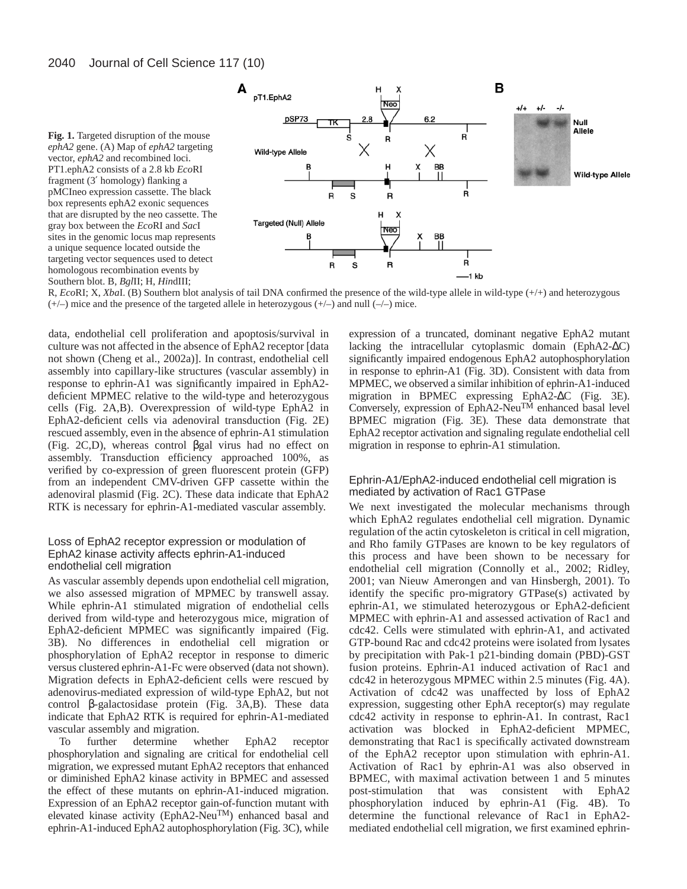



R, *Eco*RI; X, *Xba*I. (B) Southern blot analysis of tail DNA confirmed the presence of the wild-type allele in wild-type  $(+/+)$  and heterozygous  $(+/-)$  mice and the presence of the targeted allele in heterozygous  $(+/-)$  and null  $(-/-)$  mice.

data, endothelial cell proliferation and apoptosis/survival in culture was not affected in the absence of EphA2 receptor [data not shown (Cheng et al., 2002a)]. In contrast, endothelial cell assembly into capillary-like structures (vascular assembly) in response to ephrin-A1 was significantly impaired in EphA2 deficient MPMEC relative to the wild-type and heterozygous cells (Fig. 2A,B). Overexpression of wild-type EphA2 in EphA2-deficient cells via adenoviral transduction (Fig. 2E) rescued assembly, even in the absence of ephrin-A1 stimulation (Fig. 2C,D), whereas control βgal virus had no effect on assembly. Transduction efficiency approached 100%, as verified by co-expression of green fluorescent protein (GFP) from an independent CMV-driven GFP cassette within the adenoviral plasmid (Fig. 2C). These data indicate that EphA2 RTK is necessary for ephrin-A1-mediated vascular assembly.

# Loss of EphA2 receptor expression or modulation of EphA2 kinase activity affects ephrin-A1-induced endothelial cell migration

As vascular assembly depends upon endothelial cell migration, we also assessed migration of MPMEC by transwell assay. While ephrin-A1 stimulated migration of endothelial cells derived from wild-type and heterozygous mice, migration of EphA2-deficient MPMEC was significantly impaired (Fig. 3B). No differences in endothelial cell migration or phosphorylation of EphA2 receptor in response to dimeric versus clustered ephrin-A1-Fc were observed (data not shown). Migration defects in EphA2-deficient cells were rescued by adenovirus-mediated expression of wild-type EphA2, but not control β-galactosidase protein (Fig. 3A,B). These data indicate that EphA2 RTK is required for ephrin-A1-mediated

vascular assembly and migration.<br>To further determine whether To further determine whether EphA2 receptor phosphorylation and signaling are critical for endothelial cell migration, we expressed mutant EphA2 receptors that enhanced or diminished EphA2 kinase activity in BPMEC and assessed the effect of these mutants on ephrin-A1-induced migration. Expression of an EphA2 receptor gain-of-function mutant with elevated kinase activity (EphA2-NeuTM) enhanced basal and ephrin-A1-induced EphA2 autophosphorylation (Fig. 3C), while expression of a truncated, dominant negative EphA2 mutant lacking the intracellular cytoplasmic domain (EphA2-∆C) significantly impaired endogenous EphA2 autophosphorylation in response to ephrin-A1 (Fig. 3D). Consistent with data from MPMEC, we observed a similar inhibition of ephrin-A1-induced migration in BPMEC expressing EphA2-∆C (Fig. 3E). Conversely, expression of EphA2-Neu<sup>TM</sup> enhanced basal level BPMEC migration (Fig. 3E). These data demonstrate that EphA2 receptor activation and signaling regulate endothelial cell migration in response to ephrin-A1 stimulation.

# Ephrin-A1/EphA2-induced endothelial cell migration is mediated by activation of Rac1 GTPase

We next investigated the molecular mechanisms through which EphA2 regulates endothelial cell migration. Dynamic regulation of the actin cytoskeleton is critical in cell migration, and Rho family GTPases are known to be key regulators of this process and have been shown to be necessary for endothelial cell migration (Connolly et al., 2002; Ridley, 2001; van Nieuw Amerongen and van Hinsbergh, 2001). To identify the specific pro-migratory GTPase(s) activated by ephrin-A1, we stimulated heterozygous or EphA2-deficient MPMEC with ephrin-A1 and assessed activation of Rac1 and cdc42. Cells were stimulated with ephrin-A1, and activated GTP-bound Rac and cdc42 proteins were isolated from lysates by precipitation with Pak-1 p21-binding domain (PBD)-GST fusion proteins. Ephrin-A1 induced activation of Rac1 and cdc42 in heterozygous MPMEC within 2.5 minutes (Fig. 4A). Activation of cdc42 was unaffected by loss of EphA2 expression, suggesting other EphA receptor(s) may regulate cdc42 activity in response to ephrin-A1. In contrast, Rac1 activation was blocked in EphA2-deficient MPMEC, demonstrating that Rac1 is specifically activated downstream of the EphA2 receptor upon stimulation with ephrin-A1. Activation of Rac1 by ephrin-A1 was also observed in BPMEC, with maximal activation between 1 and 5 minutes post-stimulation that was consistent with EphA2 phosphorylation induced by ephrin-A1 (Fig. 4B). To determine the functional relevance of Rac1 in EphA2 mediated endothelial cell migration, we first examined ephrin-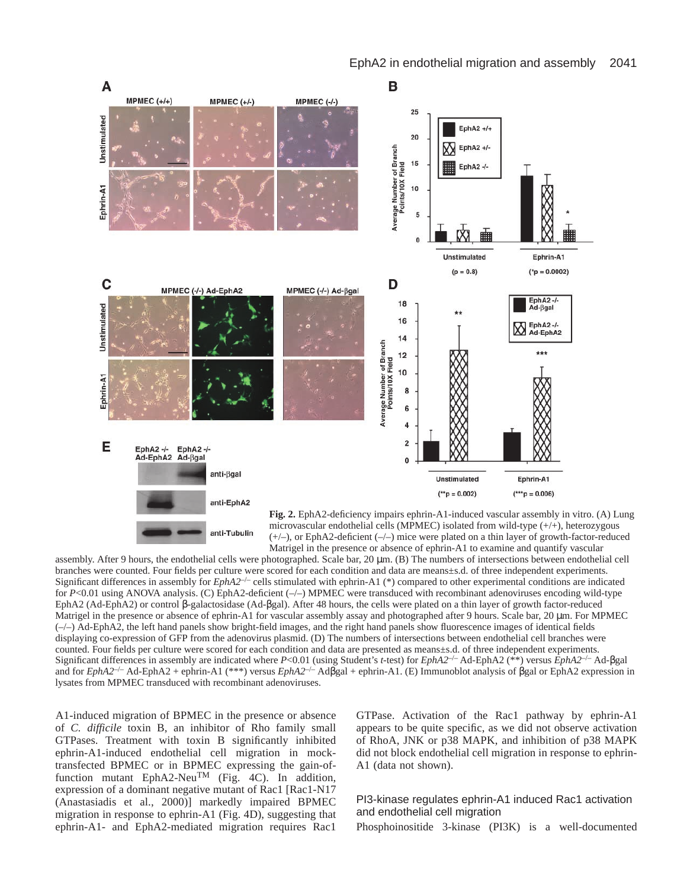

anti-Tubulin (+/–), or EphA2-deficient (–/–) mice were plated on a thin layer of growth-factor-reduced Matrigel in the presence or absence of ephrin-A1 to examine and quantify vascular assembly. After 9 hours, the endothelial cells were photographed. Scale bar, 20 µm. (B) The numbers of intersections between endothelial cell branches were counted. Four fields per culture were scored for each condition and data are means±s.d. of three independent experiments. Significant differences in assembly for *EphA2<sup>-/-</sup>* cells stimulated with ephrin-A1 (\*) compared to other experimental conditions are indicated for *P*<0.01 using ANOVA analysis. (C) EphA2-deficient (-/-) MPMEC were transduced with recombinant adenoviruses encoding wild-type EphA2 (Ad-EphA2) or control β-galactosidase (Ad-βgal). After 48 hours, the cells were plated on a thin layer of growth factor-reduced Matrigel in the presence or absence of ephrin-A1 for vascular assembly assay and photographed after 9 hours. Scale bar, 20 µm. For MPMEC  $(-/-)$  Ad-EphA2, the left hand panels show bright-field images, and the right hand panels show fluorescence images of identical fields

displaying co-expression of GFP from the adenovirus plasmid. (D) The numbers of intersections between endothelial cell branches were counted. Four fields per culture were scored for each condition and data are presented as means±s.d. of three independent experiments. Significant differences in assembly are indicated where *P*<0.01 (using Student's *t*-test) for *EphA2*–/– Ad-EphA2 (\*\*) versus *EphA2*–/– Ad-βgal and for *EphA2*–/– Ad-EphA2 + ephrin-A1 (\*\*\*) versus *EphA2*–/– Adβgal + ephrin-A1. (E) Immunoblot analysis of βgal or EphA2 expression in lysates from MPMEC transduced with recombinant adenoviruses.

A1-induced migration of BPMEC in the presence or absence of *C. difficile* toxin B, an inhibitor of Rho family small GTPases. Treatment with toxin B significantly inhibited ephrin-A1-induced endothelial cell migration in mocktransfected BPMEC or in BPMEC expressing the gain-offunction mutant EphA2-Neu<sup>TM</sup> (Fig. 4C). In addition, expression of a dominant negative mutant of Rac1 [Rac1-N17 (Anastasiadis et al., 2000)] markedly impaired BPMEC migration in response to ephrin-A1 (Fig. 4D), suggesting that ephrin-A1- and EphA2-mediated migration requires Rac1

GTPase. Activation of the Rac1 pathway by ephrin-A1 appears to be quite specific, as we did not observe activation of RhoA, JNK or p38 MAPK, and inhibition of p38 MAPK did not block endothelial cell migration in response to ephrin-A1 (data not shown).

# PI3-kinase regulates ephrin-A1 induced Rac1 activation and endothelial cell migration

Phosphoinositide 3-kinase (PI3K) is a well-documented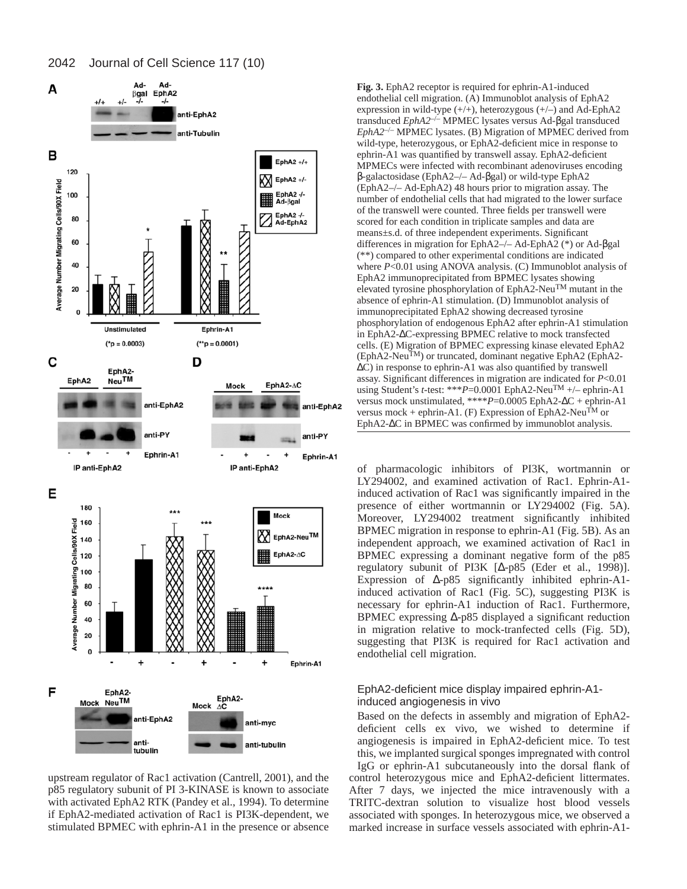

upstream regulator of Rac1 activation (Cantrell, 2001), and the p85 regulatory subunit of PI 3-KINASE is known to associate with activated EphA2 RTK (Pandey et al., 1994). To determine if EphA2-mediated activation of Rac1 is PI3K-dependent, we stimulated BPMEC with ephrin-A1 in the presence or absence

**Fig. 3.** EphA2 receptor is required for ephrin-A1-induced endothelial cell migration. (A) Immunoblot analysis of EphA2 expression in wild-type  $(+/+)$ , heterozygous  $(+/-)$  and Ad-EphA2 transduced *EphA2*–/– MPMEC lysates versus Ad-βgal transduced *EphA2*–/– MPMEC lysates. (B) Migration of MPMEC derived from wild-type, heterozygous, or EphA2-deficient mice in response to ephrin-A1 was quantified by transwell assay. EphA2-deficient MPMECs were infected with recombinant adenoviruses encoding β-galactosidase (EphA2–/– Ad-βgal) or wild-type EphA2 (EphA2–/– Ad-EphA2) 48 hours prior to migration assay. The number of endothelial cells that had migrated to the lower surface of the transwell were counted. Three fields per transwell were scored for each condition in triplicate samples and data are means±s.d. of three independent experiments. Significant differences in migration for EphA2–/– Ad-EphA2 (\*) or Ad-βgal (\*\*) compared to other experimental conditions are indicated where *P*<0.01 using ANOVA analysis. (C) Immunoblot analysis of EphA2 immunoprecipitated from BPMEC lysates showing elevated tyrosine phosphorylation of EphA2-NeuTM mutant in the absence of ephrin-A1 stimulation. (D) Immunoblot analysis of immunoprecipitated EphA2 showing decreased tyrosine phosphorylation of endogenous EphA2 after ephrin-A1 stimulation in EphA2-∆C-expressing BPMEC relative to mock transfected cells. (E) Migration of BPMEC expressing kinase elevated EphA2  $(EphA2-Neu<sup>TM</sup>)$  or truncated, dominant negative EphA2 (EphA2-∆C) in response to ephrin-A1 was also quantified by transwell assay. Significant differences in migration are indicated for *P*<0.01 using Student's *t*-test: \*\*\**P*=0.0001 EphA2-Neu<sup>TM</sup> +/- ephrin-A1 versus mock unstimulated, \*\*\*\**P*=0.0005 EphA2-∆C + ephrin-A1 versus mock + ephrin-A1. (F) Expression of EphA2-Neu<sup>TM</sup> or EphA2-∆C in BPMEC was confirmed by immunoblot analysis.

of pharmacologic inhibitors of PI3K, wortmannin or LY294002, and examined activation of Rac1. Ephrin-A1 induced activation of Rac1 was significantly impaired in the presence of either wortmannin or LY294002 (Fig. 5A). Moreover, LY294002 treatment significantly inhibited BPMEC migration in response to ephrin-A1 (Fig. 5B). As an independent approach, we examined activation of Rac1 in BPMEC expressing a dominant negative form of the p85 regulatory subunit of PI3K [∆-p85 (Eder et al., 1998)]. Expression of ∆-p85 significantly inhibited ephrin-A1 induced activation of Rac1 (Fig. 5C), suggesting PI3K is necessary for ephrin-A1 induction of Rac1. Furthermore, BPMEC expressing ∆-p85 displayed a significant reduction in migration relative to mock-tranfected cells (Fig. 5D), suggesting that PI3K is required for Rac1 activation and endothelial cell migration.

# EphA2-deficient mice display impaired ephrin-A1 induced angiogenesis in vivo

Based on the defects in assembly and migration of EphA2 deficient cells ex vivo, we wished to determine if angiogenesis is impaired in EphA2-deficient mice. To test this, we implanted surgical sponges impregnated with control IgG or ephrin-A1 subcutaneously into the dorsal flank of control heterozygous mice and EphA2-deficient littermates. After 7 days, we injected the mice intravenously with a TRITC-dextran solution to visualize host blood vessels associated with sponges. In heterozygous mice, we observed a marked increase in surface vessels associated with ephrin-A1-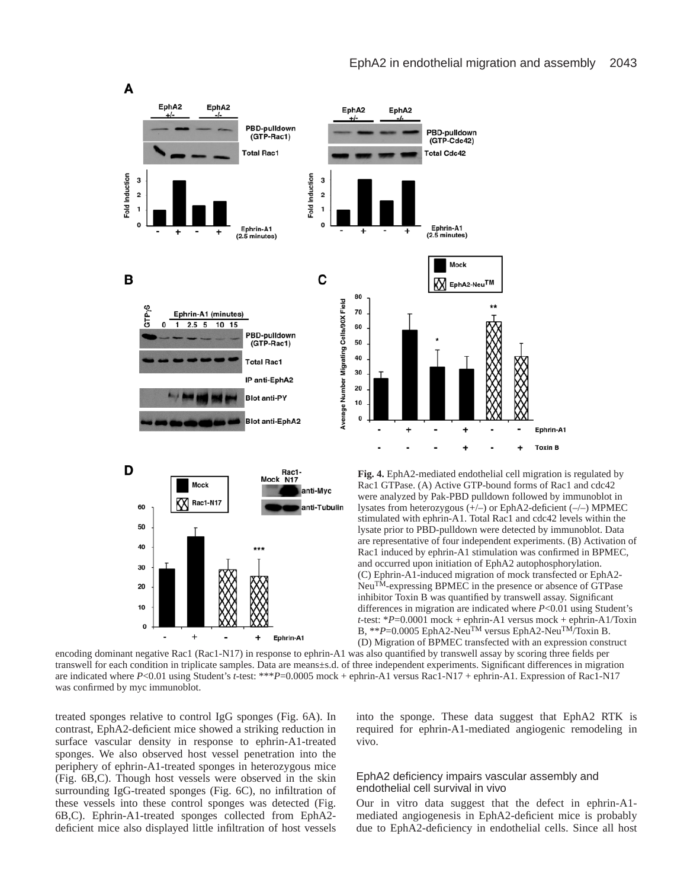



Rac1 GTPase. (A) Active GTP-bound forms of Rac1 and cdc42 were analyzed by Pak-PBD pulldown followed by immunoblot in lysates from heterozygous (+/–) or EphA2-deficient (–/–) MPMEC stimulated with ephrin-A1. Total Rac1 and cdc42 levels within the lysate prior to PBD-pulldown were detected by immunoblot. Data are representative of four independent experiments. (B) Activation of Rac1 induced by ephrin-A1 stimulation was confirmed in BPMEC, and occurred upon initiation of EphA2 autophosphorylation. (C) Ephrin-A1-induced migration of mock transfected or EphA2- NeuTM-expressing BPMEC in the presence or absence of GTPase inhibitor Toxin B was quantified by transwell assay. Significant differences in migration are indicated where *P*<0.01 using Student's *t*-test: \**P*=0.0001 mock + ephrin-A1 versus mock + ephrin-A1/Toxin B, \*\**P*=0.0005 EphA2-NeuTM versus EphA2-NeuTM/Toxin B. (D) Migration of BPMEC transfected with an expression construct

encoding dominant negative Rac1 (Rac1-N17) in response to ephrin-A1 was also quantified by transwell assay by scoring three fields per transwell for each condition in triplicate samples. Data are means±s.d. of three independent experiments. Significant differences in migration are indicated where *P*<0.01 using Student's *t*-test: \*\*\**P*=0.0005 mock + ephrin-A1 versus Rac1-N17 + ephrin-A1. Expression of Rac1-N17 was confirmed by myc immunoblot.

treated sponges relative to control IgG sponges (Fig. 6A). In contrast, EphA2-deficient mice showed a striking reduction in surface vascular density in response to ephrin-A1-treated sponges. We also observed host vessel penetration into the periphery of ephrin-A1-treated sponges in heterozygous mice (Fig. 6B,C). Though host vessels were observed in the skin surrounding IgG-treated sponges (Fig. 6C), no infiltration of these vessels into these control sponges was detected (Fig. 6B,C). Ephrin-A1-treated sponges collected from EphA2 deficient mice also displayed little infiltration of host vessels

into the sponge. These data suggest that EphA2 RTK is required for ephrin-A1-mediated angiogenic remodeling in vivo.

## EphA2 deficiency impairs vascular assembly and endothelial cell survival in vivo

Our in vitro data suggest that the defect in ephrin-A1 mediated angiogenesis in EphA2-deficient mice is probably due to EphA2-deficiency in endothelial cells. Since all host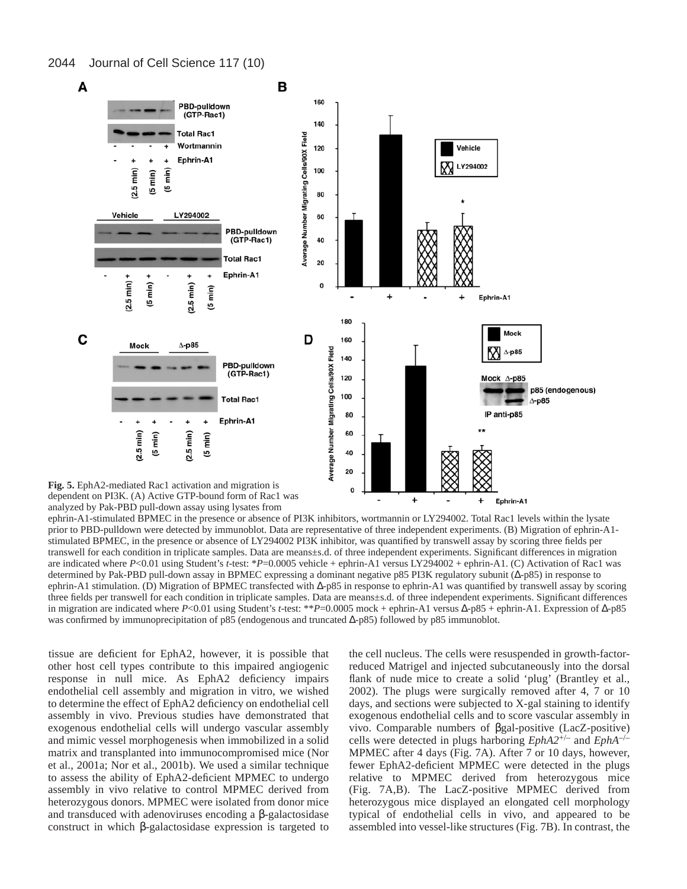

**Fig. 5.** EphA2-mediated Rac1 activation and migration is dependent on PI3K. (A) Active GTP-bound form of Rac1 was analyzed by Pak-PBD pull-down assay using lysates from

ephrin-A1-stimulated BPMEC in the presence or absence of PI3K inhibitors, wortmannin or LY294002. Total Rac1 levels within the lysate prior to PBD-pulldown were detected by immunoblot. Data are representative of three independent experiments. (B) Migration of ephrin-A1 stimulated BPMEC, in the presence or absence of LY294002 PI3K inhibitor, was quantified by transwell assay by scoring three fields per transwell for each condition in triplicate samples. Data are means±s.d. of three independent experiments. Significant differences in migration are indicated where *P*<0.01 using Student's *t*-test: \**P*=0.0005 vehicle + ephrin-A1 versus LY294002 + ephrin-A1. (C) Activation of Rac1 was determined by Pak-PBD pull-down assay in BPMEC expressing a dominant negative p85 PI3K regulatory subunit (∆-p85) in response to ephrin-A1 stimulation. (D) Migration of BPMEC transfected with ∆-p85 in response to ephrin-A1 was quantified by transwell assay by scoring three fields per transwell for each condition in triplicate samples. Data are means±s.d. of three independent experiments. Significant differences in migration are indicated where *P*<0.01 using Student's *t*-test: \*\**P*=0.0005 mock + ephrin-A1 versus ∆-p85 + ephrin-A1. Expression of ∆-p85 was confirmed by immunoprecipitation of p85 (endogenous and truncated ∆-p85) followed by p85 immunoblot.

 $\mathbf 0$ 

 $\ddot{}$ 

tissue are deficient for EphA2, however, it is possible that other host cell types contribute to this impaired angiogenic response in null mice. As EphA2 deficiency impairs endothelial cell assembly and migration in vitro, we wished to determine the effect of EphA2 deficiency on endothelial cell assembly in vivo. Previous studies have demonstrated that exogenous endothelial cells will undergo vascular assembly and mimic vessel morphogenesis when immobilized in a solid matrix and transplanted into immunocompromised mice (Nor et al., 2001a; Nor et al., 2001b). We used a similar technique to assess the ability of EphA2-deficient MPMEC to undergo assembly in vivo relative to control MPMEC derived from heterozygous donors. MPMEC were isolated from donor mice and transduced with adenoviruses encoding a β-galactosidase construct in which β-galactosidase expression is targeted to

the cell nucleus. The cells were resuspended in growth-factorreduced Matrigel and injected subcutaneously into the dorsal flank of nude mice to create a solid 'plug' (Brantley et al., 2002). The plugs were surgically removed after 4, 7 or 10 days, and sections were subjected to X-gal staining to identify exogenous endothelial cells and to score vascular assembly in vivo. Comparable numbers of βgal-positive (LacZ-positive) cells were detected in plugs harboring *EphA2*+/– and *EphA*–/– MPMEC after 4 days (Fig. 7A). After 7 or 10 days, however, fewer EphA2-deficient MPMEC were detected in the plugs relative to MPMEC derived from heterozygous mice (Fig. 7A,B). The LacZ-positive MPMEC derived from heterozygous mice displayed an elongated cell morphology typical of endothelial cells in vivo, and appeared to be assembled into vessel-like structures (Fig. 7B). In contrast, the

÷

Ephrin-A1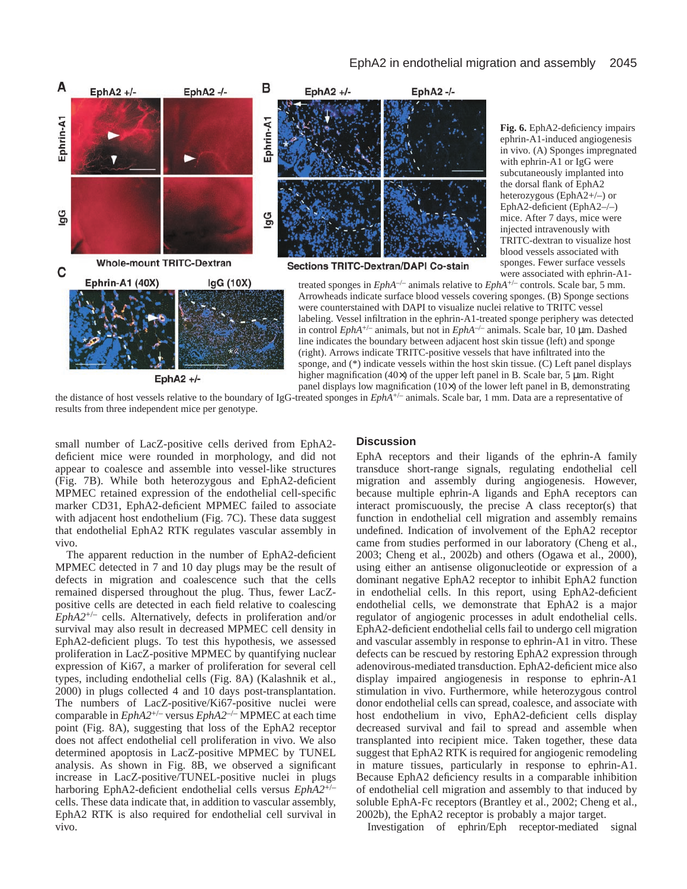

the distance of host vessels relative to the boundary of IgG-treated sponges in *EphA*+/– animals. Scale bar, 1 mm. Data are a representative of results from three independent mice per genotype.

small number of LacZ-positive cells derived from EphA2 deficient mice were rounded in morphology, and did not appear to coalesce and assemble into vessel-like structures (Fig. 7B). While both heterozygous and EphA2-deficient MPMEC retained expression of the endothelial cell-specific marker CD31, EphA2-deficient MPMEC failed to associate with adjacent host endothelium (Fig. 7C). These data suggest that endothelial EphA2 RTK regulates vascular assembly in vivo.

The apparent reduction in the number of EphA2-deficient MPMEC detected in 7 and 10 day plugs may be the result of defects in migration and coalescence such that the cells remained dispersed throughout the plug. Thus, fewer LacZpositive cells are detected in each field relative to coalescing *EphA2*+/– cells. Alternatively, defects in proliferation and/or survival may also result in decreased MPMEC cell density in EphA2-deficient plugs. To test this hypothesis, we assessed proliferation in LacZ-positive MPMEC by quantifying nuclear expression of Ki67, a marker of proliferation for several cell types, including endothelial cells (Fig. 8A) (Kalashnik et al., 2000) in plugs collected 4 and 10 days post-transplantation. The numbers of LacZ-positive/Ki67-positive nuclei were comparable in *EphA2*+/– versus *EphA2*–/– MPMEC at each time point (Fig. 8A), suggesting that loss of the EphA2 receptor does not affect endothelial cell proliferation in vivo. We also determined apoptosis in LacZ-positive MPMEC by TUNEL analysis. As shown in Fig. 8B, we observed a significant increase in LacZ-positive/TUNEL-positive nuclei in plugs harboring EphA2-deficient endothelial cells versus *EphA2*+/– cells. These data indicate that, in addition to vascular assembly, EphA2 RTK is also required for endothelial cell survival in vivo.

## **Discussion**

EphA receptors and their ligands of the ephrin-A family transduce short-range signals, regulating endothelial cell migration and assembly during angiogenesis. However, because multiple ephrin-A ligands and EphA receptors can interact promiscuously, the precise A class receptor(s) that function in endothelial cell migration and assembly remains undefined. Indication of involvement of the EphA2 receptor came from studies performed in our laboratory (Cheng et al., 2003; Cheng et al., 2002b) and others (Ogawa et al., 2000), using either an antisense oligonucleotide or expression of a dominant negative EphA2 receptor to inhibit EphA2 function in endothelial cells. In this report, using EphA2-deficient endothelial cells, we demonstrate that EphA2 is a major regulator of angiogenic processes in adult endothelial cells. EphA2-deficient endothelial cells fail to undergo cell migration and vascular assembly in response to ephrin-A1 in vitro. These defects can be rescued by restoring EphA2 expression through adenovirous-mediated transduction. EphA2-deficient mice also display impaired angiogenesis in response to ephrin-A1 stimulation in vivo. Furthermore, while heterozygous control donor endothelial cells can spread, coalesce, and associate with host endothelium in vivo, EphA2-deficient cells display decreased survival and fail to spread and assemble when transplanted into recipient mice. Taken together, these data suggest that EphA2 RTK is required for angiogenic remodeling in mature tissues, particularly in response to ephrin-A1. Because EphA2 deficiency results in a comparable inhibition of endothelial cell migration and assembly to that induced by soluble EphA-Fc receptors (Brantley et al., 2002; Cheng et al., 2002b), the EphA2 receptor is probably a major target.

Investigation of ephrin/Eph receptor-mediated signal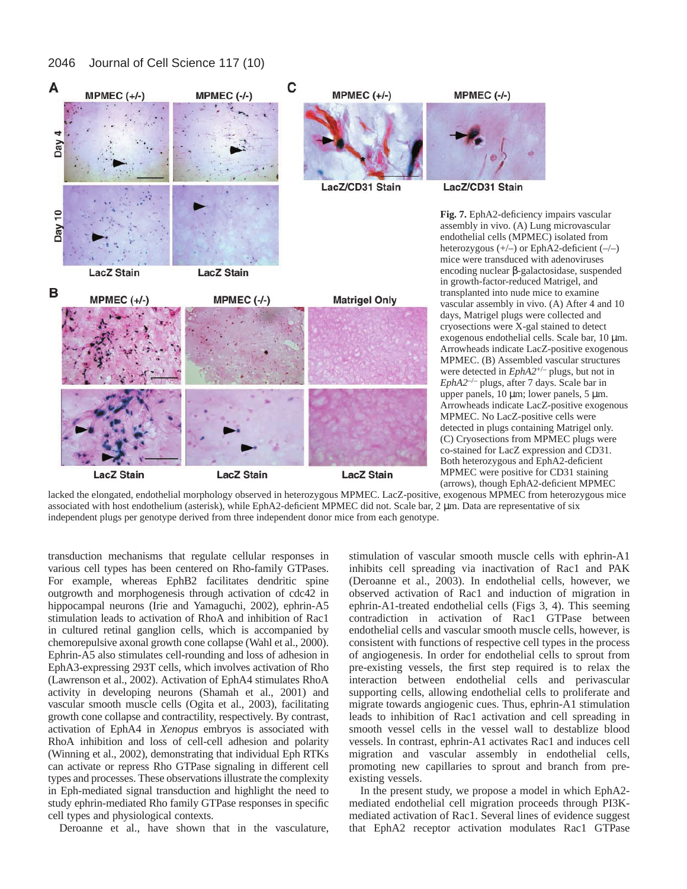#### 2046 Journal of Cell Science 117 (10)



lacked the elongated, endothelial morphology observed in heterozygous MPMEC. LacZ-positive, exogenous MPMEC from heterozygous mice associated with host endothelium (asterisk), while EphA2-deficient MPMEC did not. Scale bar, 2 µm. Data are representative of six independent plugs per genotype derived from three independent donor mice from each genotype.

transduction mechanisms that regulate cellular responses in various cell types has been centered on Rho-family GTPases. For example, whereas EphB2 facilitates dendritic spine outgrowth and morphogenesis through activation of cdc42 in hippocampal neurons (Irie and Yamaguchi, 2002), ephrin-A5 stimulation leads to activation of RhoA and inhibition of Rac1 in cultured retinal ganglion cells, which is accompanied by chemorepulsive axonal growth cone collapse (Wahl et al., 2000). Ephrin-A5 also stimulates cell-rounding and loss of adhesion in EphA3-expressing 293T cells, which involves activation of Rho (Lawrenson et al., 2002). Activation of EphA4 stimulates RhoA activity in developing neurons (Shamah et al., 2001) and vascular smooth muscle cells (Ogita et al., 2003), facilitating growth cone collapse and contractility, respectively. By contrast, activation of EphA4 in *Xenopus* embryos is associated with RhoA inhibition and loss of cell-cell adhesion and polarity (Winning et al., 2002), demonstrating that individual Eph RTKs can activate or repress Rho GTPase signaling in different cell types and processes. These observations illustrate the complexity in Eph-mediated signal transduction and highlight the need to study ephrin-mediated Rho family GTPase responses in specific cell types and physiological contexts.

Deroanne et al., have shown that in the vasculature,

stimulation of vascular smooth muscle cells with ephrin-A1 inhibits cell spreading via inactivation of Rac1 and PAK (Deroanne et al., 2003). In endothelial cells, however, we observed activation of Rac1 and induction of migration in ephrin-A1-treated endothelial cells (Figs 3, 4). This seeming contradiction in activation of Rac1 GTPase between endothelial cells and vascular smooth muscle cells, however, is consistent with functions of respective cell types in the process of angiogenesis. In order for endothelial cells to sprout from pre-existing vessels, the first step required is to relax the interaction between endothelial cells and perivascular supporting cells, allowing endothelial cells to proliferate and migrate towards angiogenic cues. Thus, ephrin-A1 stimulation leads to inhibition of Rac1 activation and cell spreading in smooth vessel cells in the vessel wall to destablize blood vessels. In contrast, ephrin-A1 activates Rac1 and induces cell migration and vascular assembly in endothelial cells, promoting new capillaries to sprout and branch from preexisting vessels.

In the present study, we propose a model in which EphA2 mediated endothelial cell migration proceeds through PI3Kmediated activation of Rac1. Several lines of evidence suggest that EphA2 receptor activation modulates Rac1 GTPase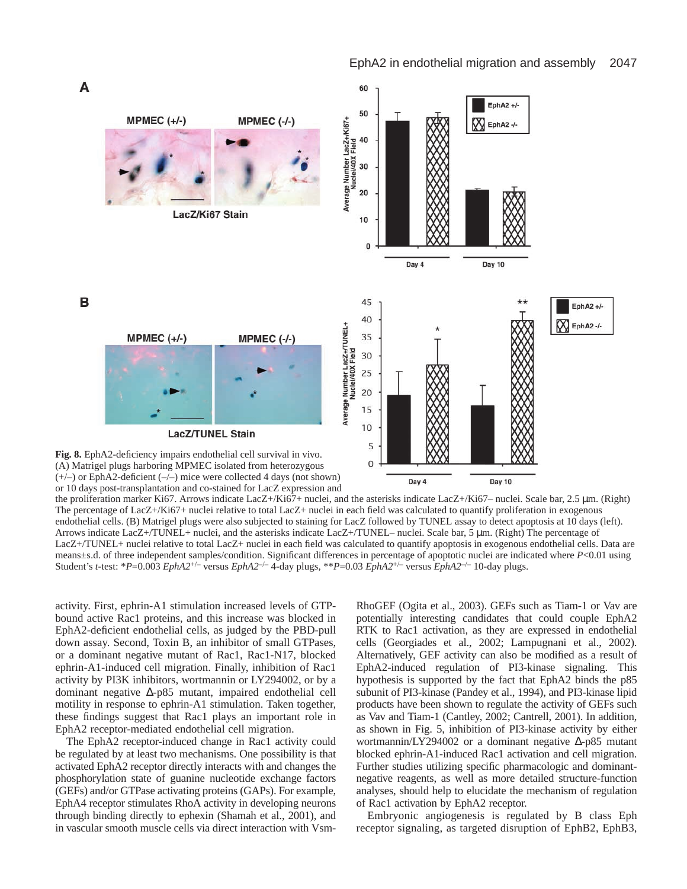

or 10 days post-transplantation and co-stained for LacZ expression and

the proliferation marker Ki67. Arrows indicate LacZ+/Ki67+ nuclei, and the asterisks indicate LacZ+/Ki67– nuclei. Scale bar, 2.5 µm. (Right) The percentage of LacZ+/Ki67+ nuclei relative to total LacZ+ nuclei in each field was calculated to quantify proliferation in exogenous endothelial cells. (B) Matrigel plugs were also subjected to staining for LacZ followed by TUNEL assay to detect apoptosis at 10 days (left). Arrows indicate LacZ+/TUNEL+ nuclei, and the asterisks indicate LacZ+/TUNEL– nuclei. Scale bar, 5 µm. (Right) The percentage of LacZ+/TUNEL+ nuclei relative to total LacZ+ nuclei in each field was calculated to quantify apoptosis in exogenous endothelial cells. Data are means±s.d. of three independent samples/condition. Significant differences in percentage of apoptotic nuclei are indicated where *P*<0.01 using Student's *t-*test: \**P*=0.003 *EphA2*+/– versus *EphA2*–/– 4-day plugs, \*\**P*=0.03 *EphA2*+/– versus *EphA2*–/– 10-day plugs.

activity. First, ephrin-A1 stimulation increased levels of GTPbound active Rac1 proteins, and this increase was blocked in EphA2-deficient endothelial cells, as judged by the PBD-pull down assay. Second, Toxin B, an inhibitor of small GTPases, or a dominant negative mutant of Rac1, Rac1-N17, blocked ephrin-A1-induced cell migration. Finally, inhibition of Rac1 activity by PI3K inhibitors, wortmannin or LY294002, or by a dominant negative ∆-p85 mutant, impaired endothelial cell motility in response to ephrin-A1 stimulation. Taken together, these findings suggest that Rac1 plays an important role in EphA2 receptor-mediated endothelial cell migration.

The EphA2 receptor-induced change in Rac1 activity could be regulated by at least two mechanisms. One possibility is that activated EphA2 receptor directly interacts with and changes the phosphorylation state of guanine nucleotide exchange factors (GEFs) and/or GTPase activating proteins (GAPs). For example, EphA4 receptor stimulates RhoA activity in developing neurons through binding directly to ephexin (Shamah et al., 2001), and in vascular smooth muscle cells via direct interaction with VsmRhoGEF (Ogita et al., 2003). GEFs such as Tiam-1 or Vav are potentially interesting candidates that could couple EphA2 RTK to Rac1 activation, as they are expressed in endothelial cells (Georgiades et al., 2002; Lampugnani et al., 2002). Alternatively, GEF activity can also be modified as a result of EphA2-induced regulation of PI3-kinase signaling. This hypothesis is supported by the fact that EphA2 binds the p85 subunit of PI3-kinase (Pandey et al., 1994), and PI3-kinase lipid products have been shown to regulate the activity of GEFs such as Vav and Tiam-1 (Cantley, 2002; Cantrell, 2001). In addition, as shown in Fig. 5, inhibition of PI3-kinase activity by either wortmannin/LY294002 or a dominant negative ∆-p85 mutant blocked ephrin-A1-induced Rac1 activation and cell migration. Further studies utilizing specific pharmacologic and dominantnegative reagents, as well as more detailed structure-function analyses, should help to elucidate the mechanism of regulation of Rac1 activation by EphA2 receptor.

Embryonic angiogenesis is regulated by B class Eph receptor signaling, as targeted disruption of EphB2, EphB3,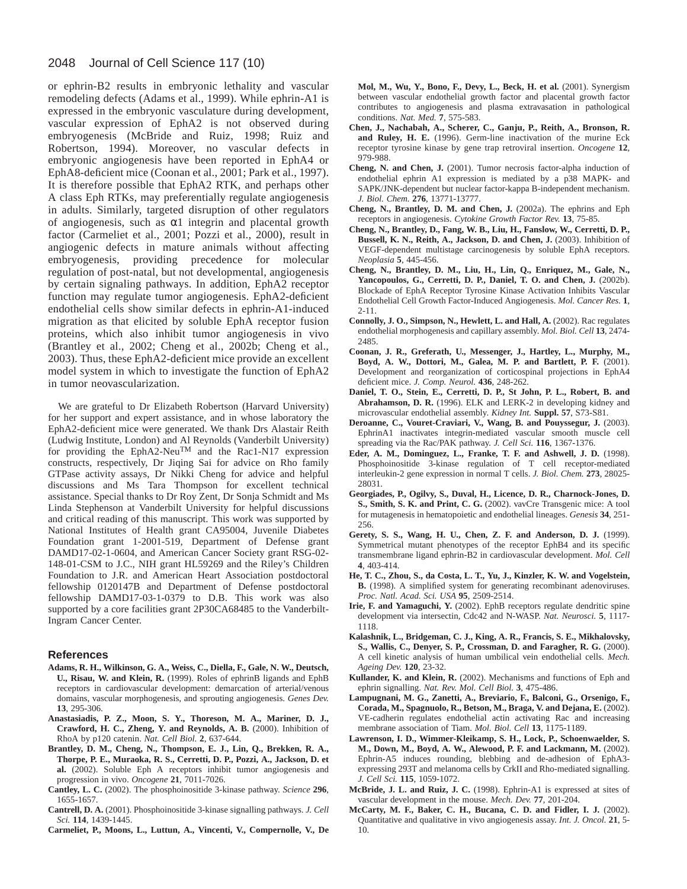#### 2048 Journal of Cell Science 117 (10)

or ephrin-B2 results in embryonic lethality and vascular remodeling defects (Adams et al., 1999). While ephrin-A1 is expressed in the embryonic vasculature during development, vascular expression of EphA2 is not observed during embryogenesis (McBride and Ruiz, 1998; Ruiz and Robertson, 1994). Moreover, no vascular defects in embryonic angiogenesis have been reported in EphA4 or EphA8-deficient mice (Coonan et al., 2001; Park et al., 1997). It is therefore possible that EphA2 RTK, and perhaps other A class Eph RTKs, may preferentially regulate angiogenesis in adults. Similarly, targeted disruption of other regulators of angiogenesis, such as  $\alpha$ 1 integrin and placental growth factor (Carmeliet et al., 2001; Pozzi et al., 2000), result in angiogenic defects in mature animals without affecting embryogenesis, providing precedence for molecular regulation of post-natal, but not developmental, angiogenesis by certain signaling pathways. In addition, EphA2 receptor function may regulate tumor angiogenesis. EphA2-deficient endothelial cells show similar defects in ephrin-A1-induced migration as that elicited by soluble EphA receptor fusion proteins, which also inhibit tumor angiogenesis in vivo (Brantley et al., 2002; Cheng et al., 2002b; Cheng et al., 2003). Thus, these EphA2-deficient mice provide an excellent model system in which to investigate the function of EphA2 in tumor neovascularization.

We are grateful to Dr Elizabeth Robertson (Harvard University) for her support and expert assistance, and in whose laboratory the EphA2-deficient mice were generated. We thank Drs Alastair Reith (Ludwig Institute, London) and Al Reynolds (Vanderbilt University) for providing the EphA2-NeuTM and the Rac1-N17 expression constructs, respectively, Dr Jiqing Sai for advice on Rho family GTPase activity assays, Dr Nikki Cheng for advice and helpful discussions and Ms Tara Thompson for excellent technical assistance. Special thanks to Dr Roy Zent, Dr Sonja Schmidt and Ms Linda Stephenson at Vanderbilt University for helpful discussions and critical reading of this manuscript. This work was supported by National Institutes of Health grant CA95004, Juvenile Diabetes Foundation grant 1-2001-519, Department of Defense grant DAMD17-02-1-0604, and American Cancer Society grant RSG-02- 148-01-CSM to J.C., NIH grant HL59269 and the Riley's Children Foundation to J.R. and American Heart Association postdoctoral fellowship 0120147B and Department of Defense postdoctoral fellowship DAMD17-03-1-0379 to D.B. This work was also supported by a core facilities grant 2P30CA68485 to the Vanderbilt-Ingram Cancer Center.

#### **References**

- **Adams, R. H., Wilkinson, G. A., Weiss, C., Diella, F., Gale, N. W., Deutsch, U., Risau, W. and Klein, R.** (1999). Roles of ephrinB ligands and EphB receptors in cardiovascular development: demarcation of arterial/venous domains, vascular morphogenesis, and sprouting angiogenesis. *Genes Dev.* **13**, 295-306.
- **Anastasiadis, P. Z., Moon, S. Y., Thoreson, M. A., Mariner, D. J., Crawford, H. C., Zheng, Y. and Reynolds, A. B.** (2000). Inhibition of RhoA by p120 catenin. *Nat. Cell Biol.* **2**, 637-644.
- **Brantley, D. M., Cheng, N., Thompson, E. J., Lin, Q., Brekken, R. A., Thorpe, P. E., Muraoka, R. S., Cerretti, D. P., Pozzi, A., Jackson, D. et al.** (2002). Soluble Eph A receptors inhibit tumor angiogenesis and progression in vivo. *Oncogene* **21**, 7011-7026.
- **Cantley, L. C.** (2002). The phosphoinositide 3-kinase pathway. *Science* **296**, 1655-1657.
- **Cantrell, D. A.** (2001). Phosphoinositide 3-kinase signalling pathways. *J. Cell Sci.* **114**, 1439-1445.
- **Carmeliet, P., Moons, L., Luttun, A., Vincenti, V., Compernolle, V., De**

**Mol, M., Wu, Y., Bono, F., Devy, L., Beck, H. et al.** (2001). Synergism between vascular endothelial growth factor and placental growth factor contributes to angiogenesis and plasma extravasation in pathological conditions. *Nat. Med.* **7**, 575-583.

- **Chen, J., Nachabah, A., Scherer, C., Ganju, P., Reith, A., Bronson, R. and Ruley, H. E.** (1996). Germ-line inactivation of the murine Eck receptor tyrosine kinase by gene trap retroviral insertion. *Oncogene* **12**, 979-988.
- **Cheng, N. and Chen, J.** (2001). Tumor necrosis factor-alpha induction of endothelial ephrin A1 expression is mediated by a p38 MAPK- and SAPK/JNK-dependent but nuclear factor-kappa B-independent mechanism. *J. Biol. Chem.* **276**, 13771-13777.
- **Cheng, N., Brantley, D. M. and Chen, J.** (2002a). The ephrins and Eph receptors in angiogenesis. *Cytokine Growth Factor Rev.* **13**, 75-85.
- **Cheng, N., Brantley, D., Fang, W. B., Liu, H., Fanslow, W., Cerretti, D. P.,** Bussell, K. N., Reith, A., Jackson, D. and Chen, J. (2003). Inhibition of VEGF-dependent multistage carcinogenesis by soluble EphA receptors. *Neoplasia* **5**, 445-456.
- **Cheng, N., Brantley, D. M., Liu, H., Lin, Q., Enriquez, M., Gale, N.,** Yancopoulos, G., Cerretti, D. P., Daniel, T. O. and Chen, J. (2002b). Blockade of EphA Receptor Tyrosine Kinase Activation Inhibits Vascular Endothelial Cell Growth Factor-Induced Angiogenesis. *Mol. Cancer Res.* **1**, 2-11.
- Connolly, J. O., Simpson, N., Hewlett, L. and Hall, A. (2002). Rac regulates endothelial morphogenesis and capillary assembly. *Mol. Biol. Cell* **13**, 2474- 2485.
- **Coonan, J. R., Greferath, U., Messenger, J., Hartley, L., Murphy, M., Boyd, A. W., Dottori, M., Galea, M. P. and Bartlett, P. F.** (2001). Development and reorganization of corticospinal projections in EphA4 deficient mice. *J. Comp. Neurol.* **436**, 248-262.
- **Daniel, T. O., Stein, E., Cerretti, D. P., St John, P. L., Robert, B. and Abrahamson, D. R.** (1996). ELK and LERK-2 in developing kidney and microvascular endothelial assembly. *Kidney Int.* **Suppl. 57**, S73-S81.
- **Deroanne, C., Vouret-Craviari, V., Wang, B. and Pouyssegur, J.** (2003). EphrinA1 inactivates integrin-mediated vascular smooth muscle cell spreading via the Rac/PAK pathway. *J. Cell Sci.* **116**, 1367-1376.
- **Eder, A. M., Dominguez, L., Franke, T. F. and Ashwell, J. D.** (1998). Phosphoinositide 3-kinase regulation of T cell receptor-mediated interleukin-2 gene expression in normal T cells. *J. Biol. Chem.* **273**, 28025- 28031.
- **Georgiades, P., Ogilvy, S., Duval, H., Licence, D. R., Charnock-Jones, D. S., Smith, S. K. and Print, C. G.** (2002). vavCre Transgenic mice: A tool for mutagenesis in hematopoietic and endothelial lineages. *Genesis* **34**, 251- 256.
- **Gerety, S. S., Wang, H. U., Chen, Z. F. and Anderson, D. J.** (1999). Symmetrical mutant phenotypes of the receptor EphB4 and its specific transmembrane ligand ephrin-B2 in cardiovascular development. *Mol. Cell* **4**, 403-414.
- **He, T. C., Zhou, S., da Costa, L. T., Yu, J., Kinzler, K. W. and Vogelstein, B.** (1998). A simplified system for generating recombinant adenoviruses. *Proc. Natl. Acad. Sci. USA* **95**, 2509-2514.
- **Irie, F. and Yamaguchi, Y.** (2002). EphB receptors regulate dendritic spine development via intersectin, Cdc42 and N-WASP. *Nat. Neurosci.* **5**, 1117- 1118.
- **Kalashnik, L., Bridgeman, C. J., King, A. R., Francis, S. E., Mikhalovsky,** S., Wallis, C., Denyer, S. P., Crossman, D. and Faragher, R. G. (2000). A cell kinetic analysis of human umbilical vein endothelial cells. *Mech. Ageing Dev.* **120**, 23-32.
- **Kullander, K. and Klein, R.** (2002). Mechanisms and functions of Eph and ephrin signalling. *Nat. Rev. Mol. Cell Biol.* **3**, 475-486.
- **Lampugnani, M. G., Zanetti, A., Breviario, F., Balconi, G., Orsenigo, F., Corada, M., Spagnuolo, R., Betson, M., Braga, V. and Dejana, E.** (2002). VE-cadherin regulates endothelial actin activating Rac and increasing membrane association of Tiam. *Mol. Biol. Cell* **13**, 1175-1189.
- **Lawrenson, I. D., Wimmer-Kleikamp, S. H., Lock, P., Schoenwaelder, S. M., Down, M., Boyd, A. W., Alewood, P. F. and Lackmann, M.** (2002). Ephrin-A5 induces rounding, blebbing and de-adhesion of EphA3 expressing 293T and melanoma cells by CrkII and Rho-mediated signalling. *J. Cell Sci.* **115**, 1059-1072.
- **McBride, J. L. and Ruiz, J. C.** (1998). Ephrin-A1 is expressed at sites of vascular development in the mouse. *Mech. Dev.* **77**, 201-204.
- **McCarty, M. F., Baker, C. H., Bucana, C. D. and Fidler, I. J.** (2002). Quantitative and qualitative in vivo angiogenesis assay. *Int. J. Oncol.* **21**, 5- 10.